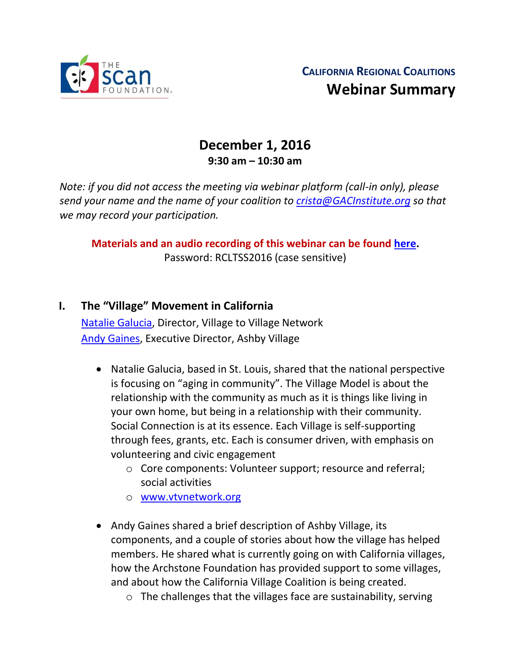

# **December 1, 2016 9:30 am – 10:30 am**

*Note: if you did not access the meeting via webinar platform (call-in only), please send your name and the name of your coalition to [crista@GACInstitute.org](mailto:crista@GACInstitute.org) so that we may record your participation.* 

**Materials and an audio recording of this webinar can be found [here.](http://www.ccltss.org/regional-coalition-meeting-materials/)** Password: RCLTSS2016 (case sensitive)

- **I. The "Village" Movement in California** [Natalie Galucia,](mailto:natalie@vtvnetwork.org) Director, Village to Village Network [Andy Gaines,](mailto:andy@ashbyvillage.org) Executive Director, Ashby Village
	- Natalie Galucia, based in St. Louis, shared that the national perspective is focusing on "aging in community". The Village Model is about the relationship with the community as much as it is things like living in your own home, but being in a relationship with their community. Social Connection is at its essence. Each Village is self-supporting through fees, grants, etc. Each is consumer driven, with emphasis on volunteering and civic engagement
		- o Core components: Volunteer support; resource and referral; social activities
		- o [www.vtvnetwork.org](http://www.vtvnetwork.org/)
	- Andy Gaines shared a brief description of Ashby Village, its components, and a couple of stories about how the village has helped members. He shared what is currently going on with California villages, how the Archstone Foundation has provided support to some villages, and about how the California Village Coalition is being created.
		- o The challenges that the villages face are sustainability, serving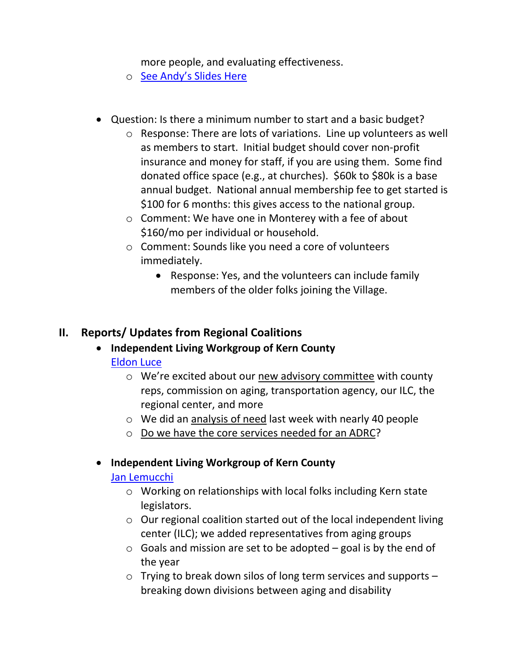more people, and evaluating effectiveness.

- o [See Andy's Slides Here](http://www.ccltss.org/cc-content-wp/uploads/2016/10/Regional-Coalitions-Webinar_December-2016_Meeting-Slides.pdf)
- Question: Is there a minimum number to start and a basic budget?
	- o Response: There are lots of variations. Line up volunteers as well as members to start. Initial budget should cover non-profit insurance and money for staff, if you are using them. Some find donated office space (e.g., at churches). \$60k to \$80k is a base annual budget. National annual membership fee to get started is \$100 for 6 months: this gives access to the national group.
	- o Comment: We have one in Monterey with a fee of about \$160/mo per individual or household.
	- o Comment: Sounds like you need a core of volunteers immediately.
		- Response: Yes, and the volunteers can include family members of the older folks joining the Village.

### **II. Reports/ Updates from Regional Coalitions**

- **Independent Living Workgroup of Kern County** [Eldon Luce](mailto:eldonluce1@gmail.com)
	- o We're excited about our new advisory committee with county reps, commission on aging, transportation agency, our ILC, the regional center, and more
	- o We did an analysis of need last week with nearly 40 people
	- o Do we have the core services needed for an ADRC?

#### **Independent Living Workgroup of Kern County**

#### [Jan Lemucchi](mailto:jan@ilcofkerncounty.org)

- o Working on relationships with local folks including Kern state legislators.
- o Our regional coalition started out of the local independent living center (ILC); we added representatives from aging groups
- $\circ$  Goals and mission are set to be adopted goal is by the end of the year
- o Trying to break down silos of long term services and supports breaking down divisions between aging and disability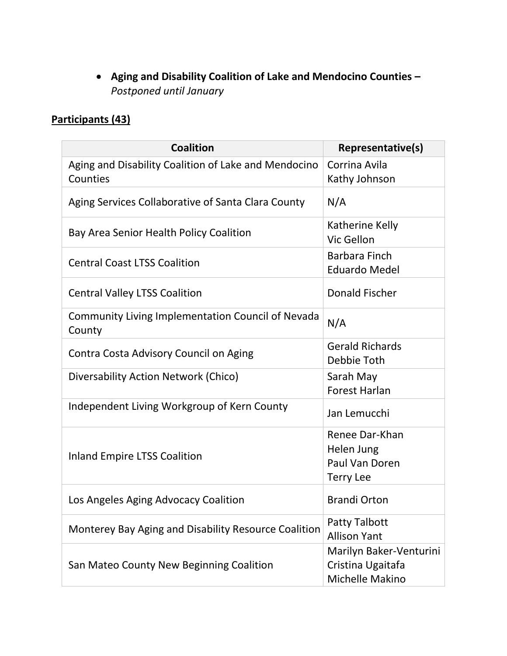**Aging and Disability Coalition of Lake and Mendocino Counties –** *Postponed until January*

## **Participants (43)**

| <b>Coalition</b>                                                 | Representative(s)                                                  |
|------------------------------------------------------------------|--------------------------------------------------------------------|
| Aging and Disability Coalition of Lake and Mendocino<br>Counties | Corrina Avila<br>Kathy Johnson                                     |
| Aging Services Collaborative of Santa Clara County               | N/A                                                                |
| Bay Area Senior Health Policy Coalition                          | Katherine Kelly<br>Vic Gellon                                      |
| <b>Central Coast LTSS Coalition</b>                              | Barbara Finch<br><b>Eduardo Medel</b>                              |
| <b>Central Valley LTSS Coalition</b>                             | <b>Donald Fischer</b>                                              |
| Community Living Implementation Council of Nevada<br>County      | N/A                                                                |
| Contra Costa Advisory Council on Aging                           | <b>Gerald Richards</b><br>Debbie Toth                              |
| Diversability Action Network (Chico)                             | Sarah May<br><b>Forest Harlan</b>                                  |
| Independent Living Workgroup of Kern County                      | Jan Lemucchi                                                       |
| <b>Inland Empire LTSS Coalition</b>                              | Renee Dar-Khan<br>Helen Jung<br>Paul Van Doren<br><b>Terry Lee</b> |
| Los Angeles Aging Advocacy Coalition                             | <b>Brandi Orton</b>                                                |
| Monterey Bay Aging and Disability Resource Coalition             | <b>Patty Talbott</b><br><b>Allison Yant</b>                        |
| San Mateo County New Beginning Coalition                         | Marilyn Baker-Venturini<br>Cristina Ugaitafa<br>Michelle Makino    |